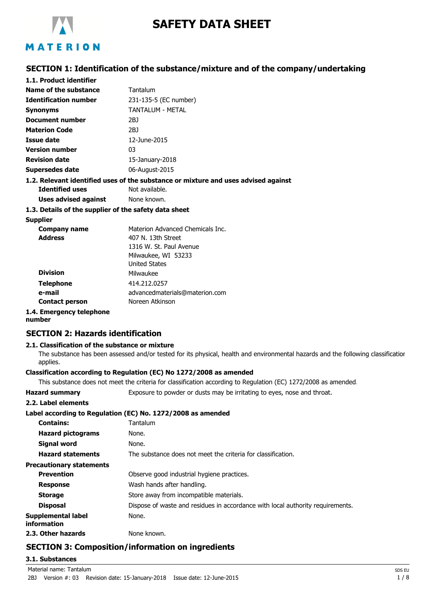

# **SAFETY DATA SHEET**

# MATERION

## **SECTION 1: Identification of the substance/mixture and of the company/undertaking**

| 1.1. Product identifier                               |                                                                                    |
|-------------------------------------------------------|------------------------------------------------------------------------------------|
| Name of the substance                                 | Tantalum                                                                           |
| <b>Identification number</b>                          | 231-135-5 (EC number)                                                              |
| Synonyms                                              | TANTAI UM - MFTAI                                                                  |
| <b>Document number</b>                                | 2BJ                                                                                |
| <b>Materion Code</b>                                  | 2BJ                                                                                |
| <b>Issue date</b>                                     | 12-June-2015                                                                       |
| <b>Version number</b>                                 | 03                                                                                 |
| <b>Revision date</b>                                  | 15-January-2018                                                                    |
| <b>Supersedes date</b>                                | 06-August-2015                                                                     |
|                                                       | 1.2. Relevant identified uses of the substance or mixture and uses advised against |
| <b>Identified uses</b>                                | Not available.                                                                     |
| <b>Uses advised against</b>                           | None known.                                                                        |
| 1.3. Details of the supplier of the safety data sheet |                                                                                    |
| <b>Supplier</b>                                       |                                                                                    |
| Company name                                          | Materion Advanced Chemicals Inc.                                                   |
| <b>Address</b>                                        | 407 N. 13th Street                                                                 |
|                                                       | 1316 W. St. Paul Avenue                                                            |
|                                                       | Milwaukee, WI 53233                                                                |
|                                                       | <b>United States</b>                                                               |
| <b>Division</b>                                       | Milwaukee                                                                          |
| <b>Telephone</b>                                      | 414.212.0257                                                                       |
| e-mail                                                | advancedmaterials@materion.com                                                     |
| <b>Contact person</b>                                 | Noreen Atkinson                                                                    |

## **1.4. Emergency telephone**

**number**

## **SECTION 2: Hazards identification**

#### **2.1. Classification of the substance or mixture**

The substance has been assessed and/or tested for its physical, health and environmental hazards and the following classification applies.

### **Classification according to Regulation (EC) No 1272/2008 as amended**

This substance does not meet the criteria for classification according to Regulation (EC) 1272/2008 as amended.

| <b>Hazard summary</b>                    | Exposure to powder or dusts may be irritating to eyes, nose and throat.        |
|------------------------------------------|--------------------------------------------------------------------------------|
| 2.2. Label elements                      |                                                                                |
|                                          | Label according to Regulation (EC) No. 1272/2008 as amended                    |
| <b>Contains:</b>                         | Tantalum                                                                       |
| <b>Hazard pictograms</b>                 | None.                                                                          |
| Signal word                              | None.                                                                          |
| <b>Hazard statements</b>                 | The substance does not meet the criteria for classification.                   |
| <b>Precautionary statements</b>          |                                                                                |
| <b>Prevention</b>                        | Observe good industrial hygiene practices.                                     |
| <b>Response</b>                          | Wash hands after handling.                                                     |
| <b>Storage</b>                           | Store away from incompatible materials.                                        |
| <b>Disposal</b>                          | Dispose of waste and residues in accordance with local authority requirements. |
| Supplemental label<br><b>information</b> | None.                                                                          |
| 2.3. Other hazards                       | None known.                                                                    |

## **SECTION 3: Composition/information on ingredients**

#### **3.1. Substances**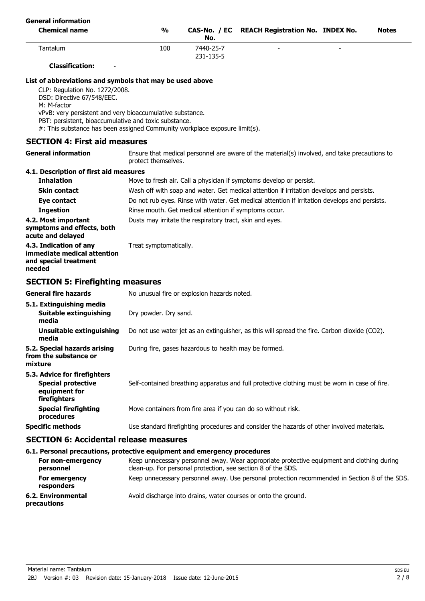| <b>General information</b><br><b>Chemical name</b> | $\frac{0}{0}$ | No.       | CAS-No. / EC REACH Registration No. INDEX No. |   | <b>Notes</b> |
|----------------------------------------------------|---------------|-----------|-----------------------------------------------|---|--------------|
| Tantalum                                           | 100           | 7440-25-7 | -                                             | - |              |
|                                                    |               | 231-135-5 |                                               |   |              |
| <b>Classification:</b><br>$\overline{\phantom{0}}$ |               |           |                                               |   |              |

#### **List of abbreviations and symbols that may be used above**

CLP: Regulation No. 1272/2008.

DSD: Directive 67/548/EEC.

M: M-factor

vPvB: very persistent and very bioaccumulative substance.

PBT: persistent, bioaccumulative and toxic substance.

#: This substance has been assigned Community workplace exposure limit(s).

#### **SECTION 4: First aid measures**

Ensure that medical personnel are aware of the material(s) involved, and take precautions to protect themselves. **General information**

## **4.1. Description of first aid measures**

| <b>Inhalation</b>                                                                        | Move to fresh air. Call a physician if symptoms develop or persist.                           |
|------------------------------------------------------------------------------------------|-----------------------------------------------------------------------------------------------|
| <b>Skin contact</b>                                                                      | Wash off with soap and water. Get medical attention if irritation develops and persists.      |
| Eye contact                                                                              | Do not rub eyes. Rinse with water. Get medical attention if irritation develops and persists. |
| <b>Ingestion</b>                                                                         | Rinse mouth. Get medical attention if symptoms occur.                                         |
| 4.2. Most important<br>symptoms and effects, both<br>acute and delayed                   | Dusts may irritate the respiratory tract, skin and eyes.                                      |
| 4.3. Indication of any<br>immediate medical attention<br>and special treatment<br>needed | Treat symptomatically.                                                                        |
| <b>SECTION 5: Firefighting measures</b>                                                  |                                                                                               |

### **General fire hazards** No unusual fire or explosion hazards noted. **5.1. Extinguishing media Suitable extinguishing** Dry powder. Dry sand. **media Unsuitable extinguishing** Do not use water jet as an extinguisher, as this will spread the fire. Carbon dioxide (CO2). **media 5.2. Special hazards arising** During fire, gases hazardous to health may be formed. **from the substance or mixture 5.3. Advice for firefighters Special protective** Self-contained breathing apparatus and full protective clothing must be worn in case of fire. **equipment for firefighters Special firefighting** Move containers from fire area if you can do so without risk. **procedures Specific methods** Use standard firefighting procedures and consider the hazards of other involved materials.

#### **SECTION 6: Accidental release measures**

#### **6.1. Personal precautions, protective equipment and emergency procedures**

| For non-emergency<br>personnel    | Keep unnecessary personnel away. Wear appropriate protective equipment and clothing during<br>clean-up. For personal protection, see section 8 of the SDS. |
|-----------------------------------|------------------------------------------------------------------------------------------------------------------------------------------------------------|
| For emergency<br>responders       | Keep unnecessary personnel away. Use personal protection recommended in Section 8 of the SDS.                                                              |
| 6.2. Environmental<br>precautions | Avoid discharge into drains, water courses or onto the ground.                                                                                             |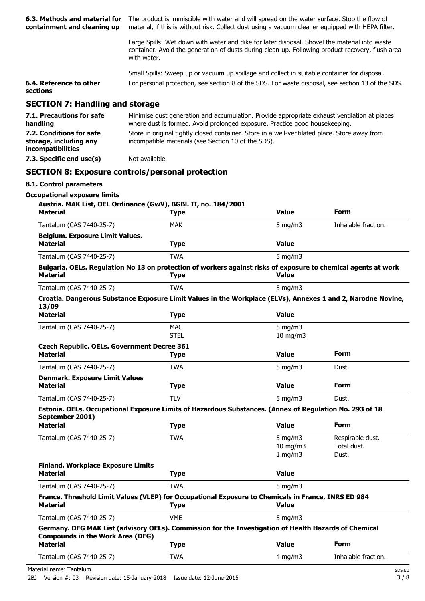| 6.3. Methods and material for<br>containment and cleaning up            |                                                                                                                                                                             | The product is immiscible with water and will spread on the water surface. Stop the flow of<br>material, if this is without risk. Collect dust using a vacuum cleaner equipped with HEPA filter.  |                     |  |  |
|-------------------------------------------------------------------------|-----------------------------------------------------------------------------------------------------------------------------------------------------------------------------|---------------------------------------------------------------------------------------------------------------------------------------------------------------------------------------------------|---------------------|--|--|
|                                                                         | with water.                                                                                                                                                                 | Large Spills: Wet down with water and dike for later disposal. Shovel the material into waste<br>container. Avoid the generation of dusts during clean-up. Following product recovery, flush area |                     |  |  |
|                                                                         | Small Spills: Sweep up or vacuum up spillage and collect in suitable container for disposal.                                                                                |                                                                                                                                                                                                   |                     |  |  |
| 6.4. Reference to other<br>sections                                     | For personal protection, see section 8 of the SDS. For waste disposal, see section 13 of the SDS.                                                                           |                                                                                                                                                                                                   |                     |  |  |
| <b>SECTION 7: Handling and storage</b>                                  |                                                                                                                                                                             |                                                                                                                                                                                                   |                     |  |  |
| 7.1. Precautions for safe<br>handling                                   | Minimise dust generation and accumulation. Provide appropriate exhaust ventilation at places<br>where dust is formed. Avoid prolonged exposure. Practice good housekeeping. |                                                                                                                                                                                                   |                     |  |  |
| 7.2. Conditions for safe<br>storage, including any<br>incompatibilities | Store in original tightly closed container. Store in a well-ventilated place. Store away from<br>incompatible materials (see Section 10 of the SDS).                        |                                                                                                                                                                                                   |                     |  |  |
| 7.3. Specific end use(s)                                                | Not available.                                                                                                                                                              |                                                                                                                                                                                                   |                     |  |  |
|                                                                         | <b>SECTION 8: Exposure controls/personal protection</b>                                                                                                                     |                                                                                                                                                                                                   |                     |  |  |
| 8.1. Control parameters                                                 |                                                                                                                                                                             |                                                                                                                                                                                                   |                     |  |  |
| <b>Occupational exposure limits</b>                                     |                                                                                                                                                                             |                                                                                                                                                                                                   |                     |  |  |
|                                                                         | Austria. MAK List, OEL Ordinance (GwV), BGBI. II, no. 184/2001                                                                                                              |                                                                                                                                                                                                   |                     |  |  |
| <b>Material</b>                                                         | <b>Type</b>                                                                                                                                                                 | <b>Value</b>                                                                                                                                                                                      | <b>Form</b>         |  |  |
| Tantalum (CAS 7440-25-7)                                                | <b>MAK</b>                                                                                                                                                                  | 5 mg/m $3$                                                                                                                                                                                        | Inhalable fraction. |  |  |
| <b>Belgium. Exposure Limit Values.</b><br><b>Material</b>               | <b>Type</b>                                                                                                                                                                 | <b>Value</b>                                                                                                                                                                                      |                     |  |  |
| Tantalum (CAS 7440-25-7)                                                | <b>TWA</b>                                                                                                                                                                  | 5 mg/m $3$                                                                                                                                                                                        |                     |  |  |
|                                                                         | Bulgaria. OELs. Regulation No 13 on protection of workers against risks of exposure to chemical agents at work                                                              |                                                                                                                                                                                                   |                     |  |  |
| <b>Material</b>                                                         | <b>Type</b>                                                                                                                                                                 | <b>Value</b>                                                                                                                                                                                      |                     |  |  |
| Tantalum (CAS 7440-25-7)                                                | <b>TWA</b>                                                                                                                                                                  | 5 mg/m $3$                                                                                                                                                                                        |                     |  |  |

#### **Croatia. Dangerous Substance Exposure Limit Values in the Workplace (ELVs), Annexes 1 and 2, Narodne Novine, 13/09**

| <b>Material</b>                                    | Type        | <b>Value</b>  |             |  |
|----------------------------------------------------|-------------|---------------|-------------|--|
| Tantalum (CAS 7440-25-7)                           | <b>MAC</b>  | 5 mg/m $3$    |             |  |
|                                                    | <b>STEL</b> | $10$ mg/m $3$ |             |  |
| <b>Czech Republic. OELs. Government Decree 361</b> |             |               |             |  |
| <b>Material</b>                                    | Type        | <b>Value</b>  | Form        |  |
| Tantalum (CAS 7440-25-7)                           | TWA         | 5 mg/m $3$    | Dust.       |  |
| <b>Denmark. Exposure Limit Values</b>              |             |               |             |  |
| <b>Material</b>                                    | Type        | <b>Value</b>  | <b>Form</b> |  |

#### Tantalum (CAS 7440-25-7) TLV 5 mg/m3 Dust. **Estonia. OELs. Occupational Exposure Limits of Hazardous Substances. (Annex of Regulation No. 293 of 18 September 2001)**

| V<br><b>Material</b>                                                                                                                             | <b>Type</b> | <b>Value</b>      | <b>Form</b>         |
|--------------------------------------------------------------------------------------------------------------------------------------------------|-------------|-------------------|---------------------|
| Tantalum (CAS 7440-25-7)                                                                                                                         | TWA         | 5 $mq/m3$         | Respirable dust.    |
|                                                                                                                                                  |             | $10 \text{ mg/m}$ | Total dust.         |
|                                                                                                                                                  |             | 1 mg/m $3$        | Dust.               |
| <b>Finland. Workplace Exposure Limits</b>                                                                                                        |             |                   |                     |
| <b>Material</b>                                                                                                                                  | <b>Type</b> | <b>Value</b>      |                     |
| Tantalum (CAS 7440-25-7)                                                                                                                         | TWA         | 5 $mq/m3$         |                     |
| France. Threshold Limit Values (VLEP) for Occupational Exposure to Chemicals in France, INRS ED 984<br><b>Material</b>                           | <b>Type</b> | <b>Value</b>      |                     |
| Tantalum (CAS 7440-25-7)                                                                                                                         | <b>VME</b>  | 5 $mq/m3$         |                     |
| Germany. DFG MAK List (advisory OELs). Commission for the Investigation of Health Hazards of Chemical<br><b>Compounds in the Work Area (DFG)</b> |             |                   |                     |
| <b>Material</b>                                                                                                                                  | <b>Type</b> | <b>Value</b>      | <b>Form</b>         |
| Tantalum (CAS 7440-25-7)                                                                                                                         | <b>TWA</b>  | $4 \text{ mg/m}$  | Inhalable fraction. |

Material name: Tantalum SDS EU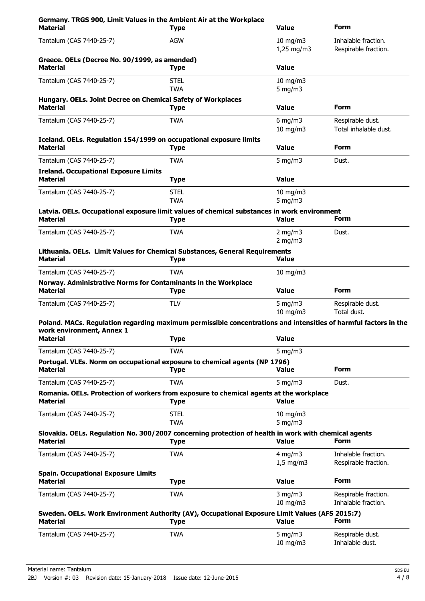| Germany. TRGS 900, Limit Values in the Ambient Air at the Workplace<br><b>Material</b>                                                       | <b>Type</b>               | <b>Value</b>                  | <b>Form</b>                                 |
|----------------------------------------------------------------------------------------------------------------------------------------------|---------------------------|-------------------------------|---------------------------------------------|
| Tantalum (CAS 7440-25-7)                                                                                                                     | <b>AGW</b>                | $10$ mg/m $3$<br>$1,25$ mg/m3 | Inhalable fraction.<br>Respirable fraction. |
| Greece. OELs (Decree No. 90/1999, as amended)<br><b>Material</b>                                                                             | <b>Type</b>               | <b>Value</b>                  |                                             |
| Tantalum (CAS 7440-25-7)                                                                                                                     | <b>STEL</b><br><b>TWA</b> | $10$ mg/m $3$<br>$5$ mg/m $3$ |                                             |
| Hungary. OELs. Joint Decree on Chemical Safety of Workplaces<br><b>Material</b>                                                              | <b>Type</b>               | <b>Value</b>                  | <b>Form</b>                                 |
| Tantalum (CAS 7440-25-7)                                                                                                                     | <b>TWA</b>                | 6 mg/m $3$<br>$10$ mg/m $3$   | Respirable dust.<br>Total inhalable dust.   |
| Iceland. OELs. Regulation 154/1999 on occupational exposure limits<br><b>Material</b>                                                        | <b>Type</b>               | <b>Value</b>                  | <b>Form</b>                                 |
| Tantalum (CAS 7440-25-7)                                                                                                                     | <b>TWA</b>                | 5 mg/m $3$                    | Dust.                                       |
| <b>Ireland. Occupational Exposure Limits</b><br><b>Material</b>                                                                              | <b>Type</b>               | <b>Value</b>                  |                                             |
| Tantalum (CAS 7440-25-7)                                                                                                                     | <b>STEL</b><br><b>TWA</b> | 10 mg/m3<br>$5$ mg/m $3$      |                                             |
| Latvia. OELs. Occupational exposure limit values of chemical substances in work environment                                                  |                           |                               |                                             |
| <b>Material</b>                                                                                                                              | <b>Type</b>               | <b>Value</b>                  | <b>Form</b>                                 |
| Tantalum (CAS 7440-25-7)                                                                                                                     | <b>TWA</b>                | 2 mg/m $3$<br>$2$ mg/m $3$    | Dust.                                       |
| Lithuania. OELs. Limit Values for Chemical Substances, General Requirements<br><b>Material</b>                                               | <b>Type</b>               | <b>Value</b>                  |                                             |
| Tantalum (CAS 7440-25-7)                                                                                                                     | <b>TWA</b>                | $10$ mg/m $3$                 |                                             |
| Norway. Administrative Norms for Contaminants in the Workplace<br><b>Material</b>                                                            | <b>Type</b>               | <b>Value</b>                  | <b>Form</b>                                 |
| Tantalum (CAS 7440-25-7)                                                                                                                     | <b>TLV</b>                | $5$ mg/m $3$<br>10 mg/m3      | Respirable dust.<br>Total dust.             |
| Poland. MACs. Regulation regarding maximum permissible concentrations and intensities of harmful factors in the<br>work environment, Annex 1 |                           |                               |                                             |
| <b>Material</b>                                                                                                                              | Type                      | Value                         |                                             |
| Tantalum (CAS 7440-25-7)                                                                                                                     | <b>TWA</b>                | 5 mg/m $3$                    |                                             |
| Portugal. VLEs. Norm on occupational exposure to chemical agents (NP 1796)<br><b>Material</b>                                                | <b>Type</b>               | Value                         | <b>Form</b>                                 |
| Tantalum (CAS 7440-25-7)                                                                                                                     | <b>TWA</b>                | 5 mg/m $3$                    | Dust.                                       |
| Romania. OELs. Protection of workers from exposure to chemical agents at the workplace<br><b>Material</b>                                    | <b>Type</b>               | <b>Value</b>                  |                                             |
| Tantalum (CAS 7440-25-7)                                                                                                                     | <b>STEL</b><br><b>TWA</b> | $10$ mg/m $3$<br>5 mg/m $3$   |                                             |
| Slovakia. OELs. Regulation No. 300/2007 concerning protection of health in work with chemical agents<br><b>Material</b>                      | <b>Type</b>               | <b>Value</b>                  | Form                                        |
| Tantalum (CAS 7440-25-7)                                                                                                                     | <b>TWA</b>                | $4$ mg/m $3$<br>$1,5$ mg/m3   | Inhalable fraction.<br>Respirable fraction. |
| <b>Spain. Occupational Exposure Limits</b><br><b>Material</b>                                                                                | <b>Type</b>               | <b>Value</b>                  | Form                                        |
| Tantalum (CAS 7440-25-7)                                                                                                                     | <b>TWA</b>                | $3$ mg/m $3$<br>$10$ mg/m $3$ | Respirable fraction.<br>Inhalable fraction. |
| Sweden. OELs. Work Environment Authority (AV), Occupational Exposure Limit Values (AFS 2015:7)<br><b>Material</b>                            | <b>Type</b>               | <b>Value</b>                  | Form                                        |
| Tantalum (CAS 7440-25-7)                                                                                                                     | <b>TWA</b>                | 5 mg/m $3$<br>10 mg/m3        | Respirable dust.<br>Inhalable dust.         |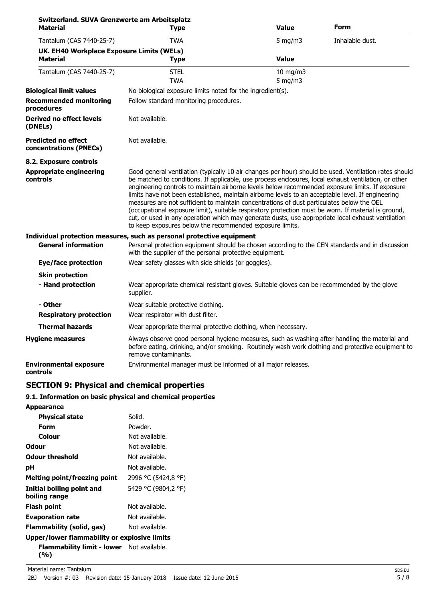| Switzerland. SUVA Grenzwerte am Arbeitsplatz<br>Material | <b>Type</b>                                                                                                                                                                                                                                                                                                                                                                                                                                                                                                                                                                                                                                                                                                                                                                                | <b>Value</b>             | Form            |
|----------------------------------------------------------|--------------------------------------------------------------------------------------------------------------------------------------------------------------------------------------------------------------------------------------------------------------------------------------------------------------------------------------------------------------------------------------------------------------------------------------------------------------------------------------------------------------------------------------------------------------------------------------------------------------------------------------------------------------------------------------------------------------------------------------------------------------------------------------------|--------------------------|-----------------|
| Tantalum (CAS 7440-25-7)                                 | <b>TWA</b>                                                                                                                                                                                                                                                                                                                                                                                                                                                                                                                                                                                                                                                                                                                                                                                 | $5$ mg/m $3$             | Inhalable dust. |
| UK. EH40 Workplace Exposure Limits (WELs)                |                                                                                                                                                                                                                                                                                                                                                                                                                                                                                                                                                                                                                                                                                                                                                                                            |                          |                 |
| <b>Material</b>                                          | <b>Type</b>                                                                                                                                                                                                                                                                                                                                                                                                                                                                                                                                                                                                                                                                                                                                                                                | <b>Value</b>             |                 |
| Tantalum (CAS 7440-25-7)                                 | <b>STEL</b><br><b>TWA</b>                                                                                                                                                                                                                                                                                                                                                                                                                                                                                                                                                                                                                                                                                                                                                                  | 10 mg/m3<br>$5$ mg/m $3$ |                 |
| <b>Biological limit values</b>                           | No biological exposure limits noted for the ingredient(s).                                                                                                                                                                                                                                                                                                                                                                                                                                                                                                                                                                                                                                                                                                                                 |                          |                 |
| <b>Recommended monitoring</b><br>procedures              | Follow standard monitoring procedures.                                                                                                                                                                                                                                                                                                                                                                                                                                                                                                                                                                                                                                                                                                                                                     |                          |                 |
| Derived no effect levels<br>(DNELs)                      | Not available.                                                                                                                                                                                                                                                                                                                                                                                                                                                                                                                                                                                                                                                                                                                                                                             |                          |                 |
| Predicted no effect<br>concentrations (PNECs)            | Not available.                                                                                                                                                                                                                                                                                                                                                                                                                                                                                                                                                                                                                                                                                                                                                                             |                          |                 |
| 8.2. Exposure controls                                   |                                                                                                                                                                                                                                                                                                                                                                                                                                                                                                                                                                                                                                                                                                                                                                                            |                          |                 |
| Appropriate engineering<br>controls                      | Good general ventilation (typically 10 air changes per hour) should be used. Ventilation rates should<br>be matched to conditions. If applicable, use process enclosures, local exhaust ventilation, or other<br>engineering controls to maintain airborne levels below recommended exposure limits. If exposure<br>limits have not been established, maintain airborne levels to an acceptable level. If engineering<br>measures are not sufficient to maintain concentrations of dust particulates below the OEL<br>(occupational exposure limit), suitable respiratory protection must be worn. If material is ground,<br>cut, or used in any operation which may generate dusts, use appropriate local exhaust ventilation<br>to keep exposures below the recommended exposure limits. |                          |                 |
|                                                          | Individual protection measures, such as personal protective equipment                                                                                                                                                                                                                                                                                                                                                                                                                                                                                                                                                                                                                                                                                                                      |                          |                 |
| <b>General information</b>                               | Personal protection equipment should be chosen according to the CEN standards and in discussion<br>with the supplier of the personal protective equipment.                                                                                                                                                                                                                                                                                                                                                                                                                                                                                                                                                                                                                                 |                          |                 |
| <b>Eye/face protection</b>                               | Wear safety glasses with side shields (or goggles).                                                                                                                                                                                                                                                                                                                                                                                                                                                                                                                                                                                                                                                                                                                                        |                          |                 |
| <b>Skin protection</b>                                   |                                                                                                                                                                                                                                                                                                                                                                                                                                                                                                                                                                                                                                                                                                                                                                                            |                          |                 |
| - Hand protection                                        | Wear appropriate chemical resistant gloves. Suitable gloves can be recommended by the glove<br>supplier.                                                                                                                                                                                                                                                                                                                                                                                                                                                                                                                                                                                                                                                                                   |                          |                 |
| - Other                                                  | Wear suitable protective clothing.                                                                                                                                                                                                                                                                                                                                                                                                                                                                                                                                                                                                                                                                                                                                                         |                          |                 |
| <b>Respiratory protection</b>                            | Wear respirator with dust filter.                                                                                                                                                                                                                                                                                                                                                                                                                                                                                                                                                                                                                                                                                                                                                          |                          |                 |
| <b>Thermal hazards</b>                                   | Wear appropriate thermal protective clothing, when necessary.                                                                                                                                                                                                                                                                                                                                                                                                                                                                                                                                                                                                                                                                                                                              |                          |                 |
| <b>Hygiene measures</b>                                  | Always observe good personal hygiene measures, such as washing after handling the material and<br>before eating, drinking, and/or smoking. Routinely wash work clothing and protective equipment to<br>remove contaminants.                                                                                                                                                                                                                                                                                                                                                                                                                                                                                                                                                                |                          |                 |
| <b>Environmental exposure</b><br>controls                | Environmental manager must be informed of all major releases.                                                                                                                                                                                                                                                                                                                                                                                                                                                                                                                                                                                                                                                                                                                              |                          |                 |

# **SECTION 9: Physical and chemical properties**

## **9.1. Information on basic physical and chemical properties**

| Solid.                                       |
|----------------------------------------------|
| Powder.                                      |
| Not available.                               |
| Not available.                               |
| Not available.                               |
| Not available.                               |
| 2996 °C (5424,8 °F)                          |
| 5429 °C (9804,2 °F)                          |
| Not available.                               |
| Not available.                               |
| Not available.                               |
| Upper/lower flammability or explosive limits |
|                                              |

# **Flammability limit - lower** Not available.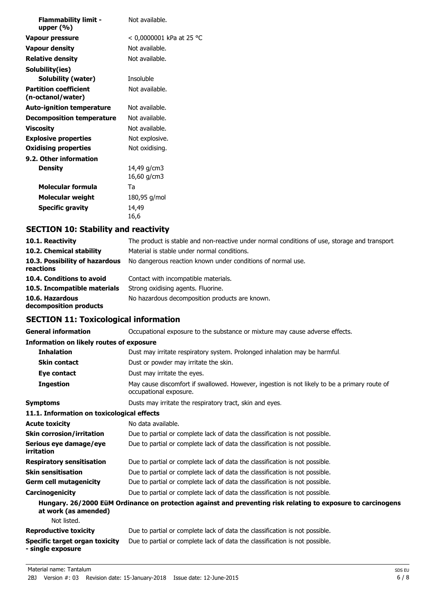| <b>Flammability limit -</b><br>upper $(\% )$      | Not available.             |
|---------------------------------------------------|----------------------------|
| Vapour pressure                                   | < 0,0000001 kPa at 25 °C   |
| Vapour density                                    | Not available.             |
| <b>Relative density</b>                           | Not available.             |
| Solubility(ies)                                   |                            |
| Solubility (water)                                | Insoluble                  |
| <b>Partition coefficient</b><br>(n-octanol/water) | Not available.             |
| <b>Auto-ignition temperature</b>                  | Not available.             |
| <b>Decomposition temperature</b>                  | Not available.             |
| <b>Viscosity</b>                                  | Not available.             |
| <b>Explosive properties</b>                       | Not explosive.             |
| <b>Oxidising properties</b>                       | Not oxidising.             |
| 9.2. Other information                            |                            |
| <b>Density</b>                                    | 14,49 g/cm3<br>16,60 g/cm3 |
| Molecular formula                                 | Та                         |
| Molecular weight                                  | 180,95 g/mol               |
| <b>Specific gravity</b>                           | 14,49<br>16,6              |

# **SECTION 10: Stability and reactivity**

| 10.1. Reactivity                            | The product is stable and non-reactive under normal conditions of use, storage and transport |
|---------------------------------------------|----------------------------------------------------------------------------------------------|
| 10.2. Chemical stability                    | Material is stable under normal conditions.                                                  |
| 10.3. Possibility of hazardous<br>reactions | No dangerous reaction known under conditions of normal use.                                  |
| 10.4. Conditions to avoid                   | Contact with incompatible materials.                                                         |
| 10.5. Incompatible materials                | Strong oxidising agents. Fluorine.                                                           |
| 10.6. Hazardous<br>decomposition products   | No hazardous decomposition products are known.                                               |

# **SECTION 11: Toxicological information**

| <b>General information</b>                                 | Occupational exposure to the substance or mixture may cause adverse effects.                                           |
|------------------------------------------------------------|------------------------------------------------------------------------------------------------------------------------|
| <b>Information on likely routes of exposure</b>            |                                                                                                                        |
| <b>Inhalation</b>                                          | Dust may irritate respiratory system. Prolonged inhalation may be harmful.                                             |
| <b>Skin contact</b>                                        | Dust or powder may irritate the skin.                                                                                  |
| Eye contact                                                | Dust may irritate the eyes.                                                                                            |
| <b>Ingestion</b>                                           | May cause discomfort if swallowed. However, ingestion is not likely to be a primary route of<br>occupational exposure. |
| <b>Symptoms</b>                                            | Dusts may irritate the respiratory tract, skin and eyes.                                                               |
| 11.1. Information on toxicological effects                 |                                                                                                                        |
| <b>Acute toxicity</b>                                      | No data available.                                                                                                     |
| <b>Skin corrosion/irritation</b>                           | Due to partial or complete lack of data the classification is not possible.                                            |
| Serious eye damage/eye<br>irritation                       | Due to partial or complete lack of data the classification is not possible.                                            |
| <b>Respiratory sensitisation</b>                           | Due to partial or complete lack of data the classification is not possible.                                            |
| <b>Skin sensitisation</b>                                  | Due to partial or complete lack of data the classification is not possible.                                            |
| <b>Germ cell mutagenicity</b>                              | Due to partial or complete lack of data the classification is not possible.                                            |
| Carcinogenicity                                            | Due to partial or complete lack of data the classification is not possible.                                            |
| at work (as amended)                                       | Hungary. 26/2000 EüM Ordinance on protection against and preventing risk relating to exposure to carcinogens           |
| Not listed.                                                |                                                                                                                        |
| <b>Reproductive toxicity</b>                               | Due to partial or complete lack of data the classification is not possible.                                            |
| <b>Specific target organ toxicity</b><br>- single exposure | Due to partial or complete lack of data the classification is not possible.                                            |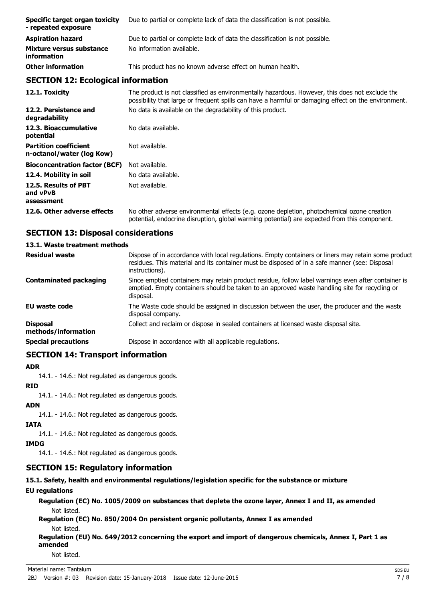| Specific target organ toxicity<br>- repeated exposure | Due to partial or complete lack of data the classification is not possible. |
|-------------------------------------------------------|-----------------------------------------------------------------------------|
| <b>Aspiration hazard</b>                              | Due to partial or complete lack of data the classification is not possible. |
| Mixture versus substance<br><i>information</i>        | No information available.                                                   |
| <b>Other information</b>                              | This product has no known adverse effect on human health.                   |

## **SECTION 12: Ecological information**

**12.1. Toxicity** The product is not classified as environmentally hazardous. However, this does not exclude the possibility that large or frequent spills can have a harmful or damaging effect on the environment. **12.2. Persistence and** No data is available on the degradability of this product. **degradability** 12.3. Bioaccumulative No data available. **potential Partition coefficient n-octanol/water (log Kow)** Not available. **Bioconcentration factor (BCF)** Not available. **12.4. Mobility in soil** No data available. **12.5. Results of PBT and vPvB assessment** Not available. **12.6. Other adverse effects** No other adverse environmental effects (e.g. ozone depletion, photochemical ozone creation potential, endocrine disruption, global warming potential) are expected from this component.

## **SECTION 13: Disposal considerations**

# **13.1. Waste treatment methods**

| <b>Residual waste</b>                  | Dispose of in accordance with local regulations. Empty containers or liners may retain some product<br>residues. This material and its container must be disposed of in a safe manner (see: Disposal<br>instructions). |
|----------------------------------------|------------------------------------------------------------------------------------------------------------------------------------------------------------------------------------------------------------------------|
| <b>Contaminated packaging</b>          | Since emptied containers may retain product residue, follow label warnings even after container is<br>emptied. Empty containers should be taken to an approved waste handling site for recycling or<br>disposal.       |
| <b>EU waste code</b>                   | The Waste code should be assigned in discussion between the user, the producer and the waste<br>disposal company.                                                                                                      |
| <b>Disposal</b><br>methods/information | Collect and reclaim or dispose in sealed containers at licensed waste disposal site.                                                                                                                                   |
| <b>Special precautions</b>             | Dispose in accordance with all applicable regulations.                                                                                                                                                                 |

## **SECTION 14: Transport information**

#### **ADR**

14.1. - 14.6.: Not regulated as dangerous goods.

#### **RID**

14.1. - 14.6.: Not regulated as dangerous goods.

#### **ADN**

14.1. - 14.6.: Not regulated as dangerous goods.

## **IATA**

14.1. - 14.6.: Not regulated as dangerous goods.

## **IMDG**

14.1. - 14.6.: Not regulated as dangerous goods.

# **SECTION 15: Regulatory information**

**15.1. Safety, health and environmental regulations/legislation specific for the substance or mixture**

## **EU regulations**

**Regulation (EC) No. 1005/2009 on substances that deplete the ozone layer, Annex I and II, as amended** Not listed.

**Regulation (EC) No. 850/2004 On persistent organic pollutants, Annex I as amended** Not listed.

**Regulation (EU) No. 649/2012 concerning the export and import of dangerous chemicals, Annex I, Part 1 as amended**

Not listed.